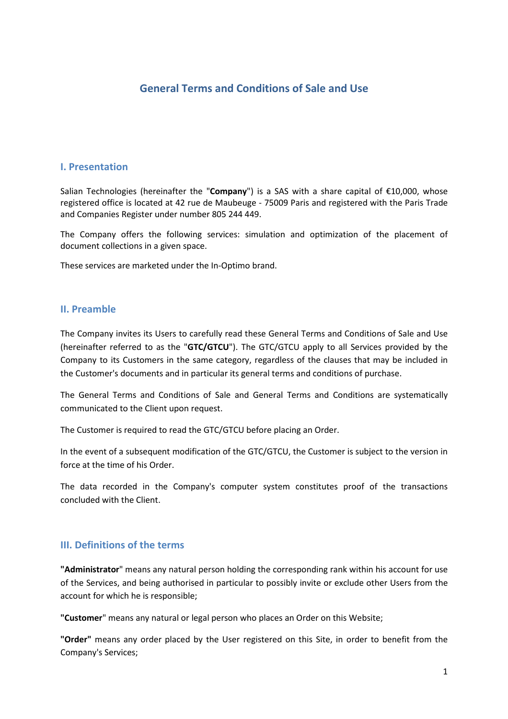# **General Terms and Conditions of Sale and Use**

#### **I. Presentation**

Salian Technologies (hereinafter the "**Company**") is a SAS with a share capital of €10,000, whose registered office is located at 42 rue de Maubeuge - 75009 Paris and registered with the Paris Trade and Companies Register under number 805 244 449.

The Company offers the following services: simulation and optimization of the placement of document collections in a given space.

These services are marketed under the In-Optimo brand.

#### **II. Preamble**

The Company invites its Users to carefully read these General Terms and Conditions of Sale and Use (hereinafter referred to as the "**GTC/GTCU**"). The GTC/GTCU apply to all Services provided by the Company to its Customers in the same category, regardless of the clauses that may be included in the Customer's documents and in particular its general terms and conditions of purchase.

The General Terms and Conditions of Sale and General Terms and Conditions are systematically communicated to the Client upon request.

The Customer is required to read the GTC/GTCU before placing an Order.

In the event of a subsequent modification of the GTC/GTCU, the Customer is subject to the version in force at the time of his Order.

The data recorded in the Company's computer system constitutes proof of the transactions concluded with the Client.

#### **III. Definitions of the terms**

**"Administrator**" means any natural person holding the corresponding rank within his account for use of the Services, and being authorised in particular to possibly invite or exclude other Users from the account for which he is responsible;

**"Customer**" means any natural or legal person who places an Order on this Website;

**"Order"** means any order placed by the User registered on this Site, in order to benefit from the Company's Services;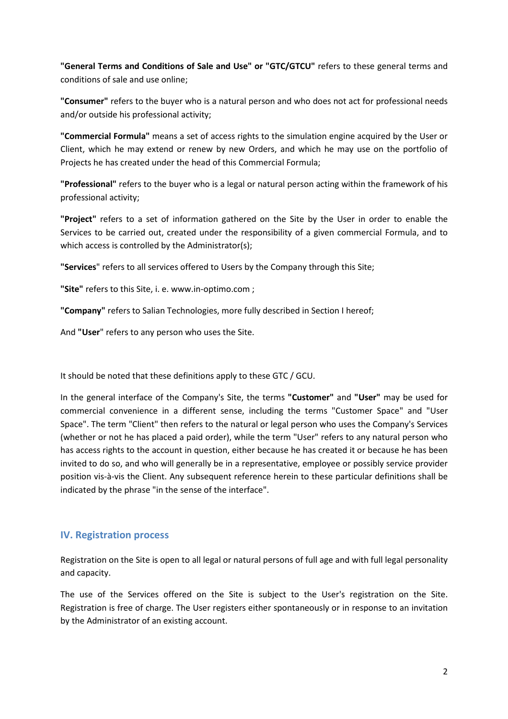**"General Terms and Conditions of Sale and Use" or "GTC/GTCU"** refers to these general terms and conditions of sale and use online;

**"Consumer"** refers to the buyer who is a natural person and who does not act for professional needs and/or outside his professional activity;

**"Commercial Formula"** means a set of access rights to the simulation engine acquired by the User or Client, which he may extend or renew by new Orders, and which he may use on the portfolio of Projects he has created under the head of this Commercial Formula;

**"Professional"** refers to the buyer who is a legal or natural person acting within the framework of his professional activity;

**"Project"** refers to a set of information gathered on the Site by the User in order to enable the Services to be carried out, created under the responsibility of a given commercial Formula, and to which access is controlled by the Administrator(s);

**"Services**" refers to all services offered to Users by the Company through this Site;

**"Site"** refers to this Site, i. e. www.in-optimo.com ;

**"Company"** refers to Salian Technologies, more fully described in Section I hereof;

And **"User**" refers to any person who uses the Site.

It should be noted that these definitions apply to these GTC / GCU.

In the general interface of the Company's Site, the terms **"Customer"** and **"User"** may be used for commercial convenience in a different sense, including the terms "Customer Space" and "User Space". The term "Client" then refers to the natural or legal person who uses the Company's Services (whether or not he has placed a paid order), while the term "User" refers to any natural person who has access rights to the account in question, either because he has created it or because he has been invited to do so, and who will generally be in a representative, employee or possibly service provider position vis-à-vis the Client. Any subsequent reference herein to these particular definitions shall be indicated by the phrase "in the sense of the interface".

#### **IV. Registration process**

Registration on the Site is open to all legal or natural persons of full age and with full legal personality and capacity.

The use of the Services offered on the Site is subject to the User's registration on the Site. Registration is free of charge. The User registers either spontaneously or in response to an invitation by the Administrator of an existing account.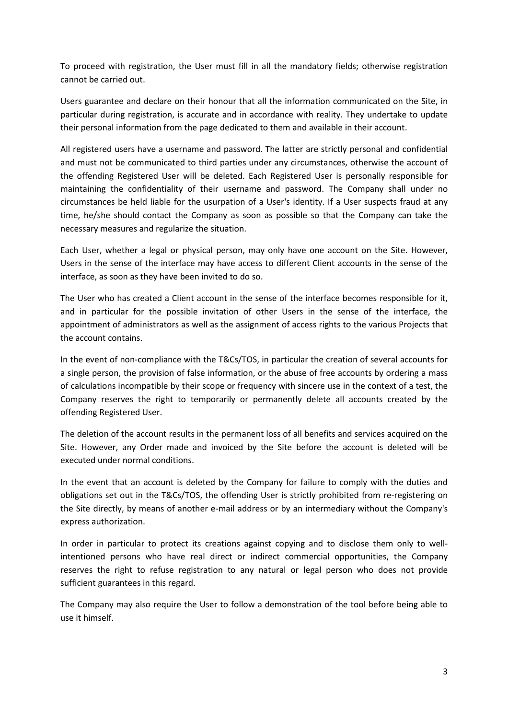To proceed with registration, the User must fill in all the mandatory fields; otherwise registration cannot be carried out.

Users guarantee and declare on their honour that all the information communicated on the Site, in particular during registration, is accurate and in accordance with reality. They undertake to update their personal information from the page dedicated to them and available in their account.

All registered users have a username and password. The latter are strictly personal and confidential and must not be communicated to third parties under any circumstances, otherwise the account of the offending Registered User will be deleted. Each Registered User is personally responsible for maintaining the confidentiality of their username and password. The Company shall under no circumstances be held liable for the usurpation of a User's identity. If a User suspects fraud at any time, he/she should contact the Company as soon as possible so that the Company can take the necessary measures and regularize the situation.

Each User, whether a legal or physical person, may only have one account on the Site. However, Users in the sense of the interface may have access to different Client accounts in the sense of the interface, as soon as they have been invited to do so.

The User who has created a Client account in the sense of the interface becomes responsible for it, and in particular for the possible invitation of other Users in the sense of the interface, the appointment of administrators as well as the assignment of access rights to the various Projects that the account contains.

In the event of non-compliance with the T&Cs/TOS, in particular the creation of several accounts for a single person, the provision of false information, or the abuse of free accounts by ordering a mass of calculations incompatible by their scope or frequency with sincere use in the context of a test, the Company reserves the right to temporarily or permanently delete all accounts created by the offending Registered User.

The deletion of the account results in the permanent loss of all benefits and services acquired on the Site. However, any Order made and invoiced by the Site before the account is deleted will be executed under normal conditions.

In the event that an account is deleted by the Company for failure to comply with the duties and obligations set out in the T&Cs/TOS, the offending User is strictly prohibited from re-registering on the Site directly, by means of another e-mail address or by an intermediary without the Company's express authorization.

In order in particular to protect its creations against copying and to disclose them only to wellintentioned persons who have real direct or indirect commercial opportunities, the Company reserves the right to refuse registration to any natural or legal person who does not provide sufficient guarantees in this regard.

The Company may also require the User to follow a demonstration of the tool before being able to use it himself.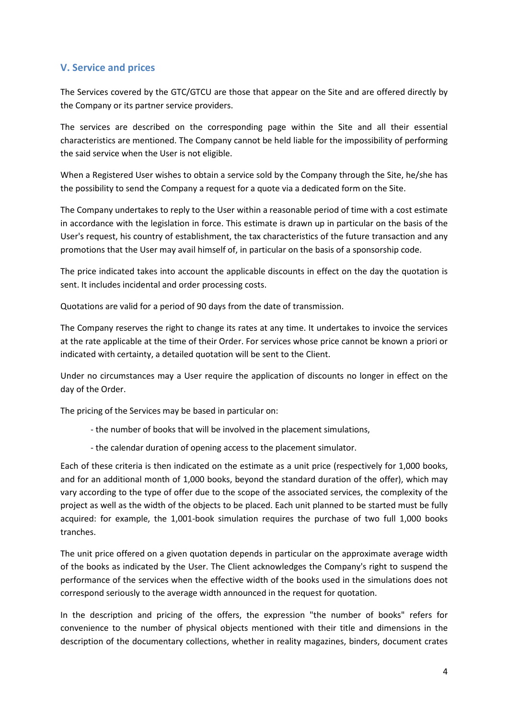### **V. Service and prices**

The Services covered by the GTC/GTCU are those that appear on the Site and are offered directly by the Company or its partner service providers.

The services are described on the corresponding page within the Site and all their essential characteristics are mentioned. The Company cannot be held liable for the impossibility of performing the said service when the User is not eligible.

When a Registered User wishes to obtain a service sold by the Company through the Site, he/she has the possibility to send the Company a request for a quote via a dedicated form on the Site.

The Company undertakes to reply to the User within a reasonable period of time with a cost estimate in accordance with the legislation in force. This estimate is drawn up in particular on the basis of the User's request, his country of establishment, the tax characteristics of the future transaction and any promotions that the User may avail himself of, in particular on the basis of a sponsorship code.

The price indicated takes into account the applicable discounts in effect on the day the quotation is sent. It includes incidental and order processing costs.

Quotations are valid for a period of 90 days from the date of transmission.

The Company reserves the right to change its rates at any time. It undertakes to invoice the services at the rate applicable at the time of their Order. For services whose price cannot be known a priori or indicated with certainty, a detailed quotation will be sent to the Client.

Under no circumstances may a User require the application of discounts no longer in effect on the day of the Order.

The pricing of the Services may be based in particular on:

- the number of books that will be involved in the placement simulations,
- the calendar duration of opening access to the placement simulator.

Each of these criteria is then indicated on the estimate as a unit price (respectively for 1,000 books, and for an additional month of 1,000 books, beyond the standard duration of the offer), which may vary according to the type of offer due to the scope of the associated services, the complexity of the project as well as the width of the objects to be placed. Each unit planned to be started must be fully acquired: for example, the 1,001-book simulation requires the purchase of two full 1,000 books tranches.

The unit price offered on a given quotation depends in particular on the approximate average width of the books as indicated by the User. The Client acknowledges the Company's right to suspend the performance of the services when the effective width of the books used in the simulations does not correspond seriously to the average width announced in the request for quotation.

In the description and pricing of the offers, the expression "the number of books" refers for convenience to the number of physical objects mentioned with their title and dimensions in the description of the documentary collections, whether in reality magazines, binders, document crates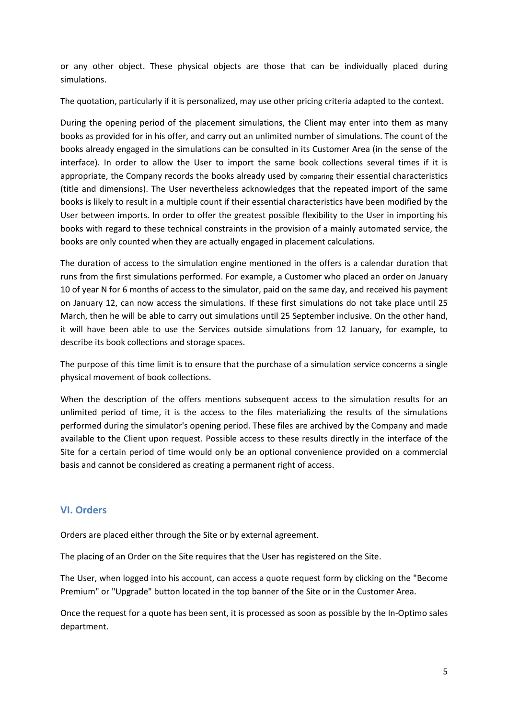or any other object. These physical objects are those that can be individually placed during simulations.

The quotation, particularly if it is personalized, may use other pricing criteria adapted to the context.

During the opening period of the placement simulations, the Client may enter into them as many books as provided for in his offer, and carry out an unlimited number of simulations. The count of the books already engaged in the simulations can be consulted in its Customer Area (in the sense of the interface). In order to allow the User to import the same book collections several times if it is appropriate, the Company records the books already used by comparing their essential characteristics (title and dimensions). The User nevertheless acknowledges that the repeated import of the same books is likely to result in a multiple count if their essential characteristics have been modified by the User between imports. In order to offer the greatest possible flexibility to the User in importing his books with regard to these technical constraints in the provision of a mainly automated service, the books are only counted when they are actually engaged in placement calculations.

The duration of access to the simulation engine mentioned in the offers is a calendar duration that runs from the first simulations performed. For example, a Customer who placed an order on January 10 of year N for 6 months of access to the simulator, paid on the same day, and received his payment on January 12, can now access the simulations. If these first simulations do not take place until 25 March, then he will be able to carry out simulations until 25 September inclusive. On the other hand, it will have been able to use the Services outside simulations from 12 January, for example, to describe its book collections and storage spaces.

The purpose of this time limit is to ensure that the purchase of a simulation service concerns a single physical movement of book collections.

When the description of the offers mentions subsequent access to the simulation results for an unlimited period of time, it is the access to the files materializing the results of the simulations performed during the simulator's opening period. These files are archived by the Company and made available to the Client upon request. Possible access to these results directly in the interface of the Site for a certain period of time would only be an optional convenience provided on a commercial basis and cannot be considered as creating a permanent right of access.

### **VI. Orders**

Orders are placed either through the Site or by external agreement.

The placing of an Order on the Site requires that the User has registered on the Site.

The User, when logged into his account, can access a quote request form by clicking on the "Become Premium" or "Upgrade" button located in the top banner of the Site or in the Customer Area.

Once the request for a quote has been sent, it is processed as soon as possible by the In-Optimo sales department.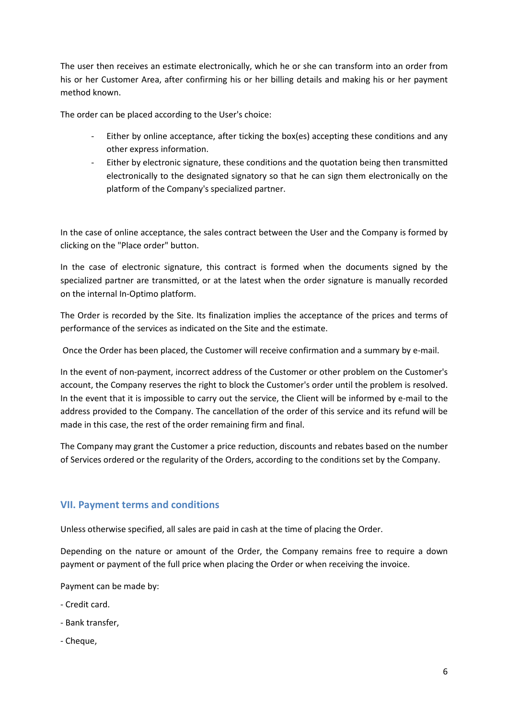The user then receives an estimate electronically, which he or she can transform into an order from his or her Customer Area, after confirming his or her billing details and making his or her payment method known.

The order can be placed according to the User's choice:

- Either by online acceptance, after ticking the box(es) accepting these conditions and any other express information.
- Either by electronic signature, these conditions and the quotation being then transmitted electronically to the designated signatory so that he can sign them electronically on the platform of the Company's specialized partner.

In the case of online acceptance, the sales contract between the User and the Company is formed by clicking on the "Place order" button.

In the case of electronic signature, this contract is formed when the documents signed by the specialized partner are transmitted, or at the latest when the order signature is manually recorded on the internal In-Optimo platform.

The Order is recorded by the Site. Its finalization implies the acceptance of the prices and terms of performance of the services as indicated on the Site and the estimate.

Once the Order has been placed, the Customer will receive confirmation and a summary by e-mail.

In the event of non-payment, incorrect address of the Customer or other problem on the Customer's account, the Company reserves the right to block the Customer's order until the problem is resolved. In the event that it is impossible to carry out the service, the Client will be informed by e-mail to the address provided to the Company. The cancellation of the order of this service and its refund will be made in this case, the rest of the order remaining firm and final.

The Company may grant the Customer a price reduction, discounts and rebates based on the number of Services ordered or the regularity of the Orders, according to the conditions set by the Company.

## **VII. Payment terms and conditions**

Unless otherwise specified, all sales are paid in cash at the time of placing the Order.

Depending on the nature or amount of the Order, the Company remains free to require a down payment or payment of the full price when placing the Order or when receiving the invoice.

Payment can be made by:

- Credit card.
- Bank transfer,
- Cheque,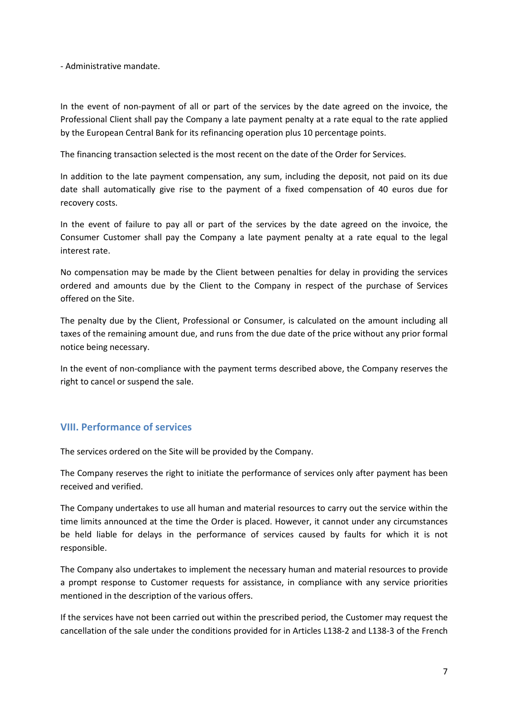- Administrative mandate.

In the event of non-payment of all or part of the services by the date agreed on the invoice, the Professional Client shall pay the Company a late payment penalty at a rate equal to the rate applied by the European Central Bank for its refinancing operation plus 10 percentage points.

The financing transaction selected is the most recent on the date of the Order for Services.

In addition to the late payment compensation, any sum, including the deposit, not paid on its due date shall automatically give rise to the payment of a fixed compensation of 40 euros due for recovery costs.

In the event of failure to pay all or part of the services by the date agreed on the invoice, the Consumer Customer shall pay the Company a late payment penalty at a rate equal to the legal interest rate.

No compensation may be made by the Client between penalties for delay in providing the services ordered and amounts due by the Client to the Company in respect of the purchase of Services offered on the Site.

The penalty due by the Client, Professional or Consumer, is calculated on the amount including all taxes of the remaining amount due, and runs from the due date of the price without any prior formal notice being necessary.

In the event of non-compliance with the payment terms described above, the Company reserves the right to cancel or suspend the sale.

## **VIII. Performance of services**

The services ordered on the Site will be provided by the Company.

The Company reserves the right to initiate the performance of services only after payment has been received and verified.

The Company undertakes to use all human and material resources to carry out the service within the time limits announced at the time the Order is placed. However, it cannot under any circumstances be held liable for delays in the performance of services caused by faults for which it is not responsible.

The Company also undertakes to implement the necessary human and material resources to provide a prompt response to Customer requests for assistance, in compliance with any service priorities mentioned in the description of the various offers.

If the services have not been carried out within the prescribed period, the Customer may request the cancellation of the sale under the conditions provided for in Articles L138-2 and L138-3 of the French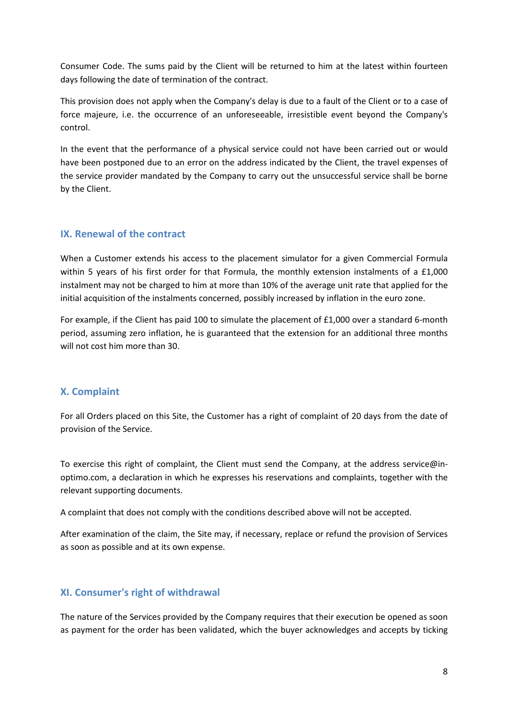Consumer Code. The sums paid by the Client will be returned to him at the latest within fourteen days following the date of termination of the contract.

This provision does not apply when the Company's delay is due to a fault of the Client or to a case of force majeure, i.e. the occurrence of an unforeseeable, irresistible event beyond the Company's control.

In the event that the performance of a physical service could not have been carried out or would have been postponed due to an error on the address indicated by the Client, the travel expenses of the service provider mandated by the Company to carry out the unsuccessful service shall be borne by the Client.

### **IX. Renewal of the contract**

When a Customer extends his access to the placement simulator for a given Commercial Formula within 5 years of his first order for that Formula, the monthly extension instalments of a £1,000 instalment may not be charged to him at more than 10% of the average unit rate that applied for the initial acquisition of the instalments concerned, possibly increased by inflation in the euro zone.

For example, if the Client has paid 100 to simulate the placement of £1,000 over a standard 6-month period, assuming zero inflation, he is guaranteed that the extension for an additional three months will not cost him more than 30.

### **X. Complaint**

For all Orders placed on this Site, the Customer has a right of complaint of 20 days from the date of provision of the Service.

To exercise this right of complaint, the Client must send the Company, at the address service@inoptimo.com, a declaration in which he expresses his reservations and complaints, together with the relevant supporting documents.

A complaint that does not comply with the conditions described above will not be accepted.

After examination of the claim, the Site may, if necessary, replace or refund the provision of Services as soon as possible and at its own expense.

### **XI. Consumer's right of withdrawal**

The nature of the Services provided by the Company requires that their execution be opened as soon as payment for the order has been validated, which the buyer acknowledges and accepts by ticking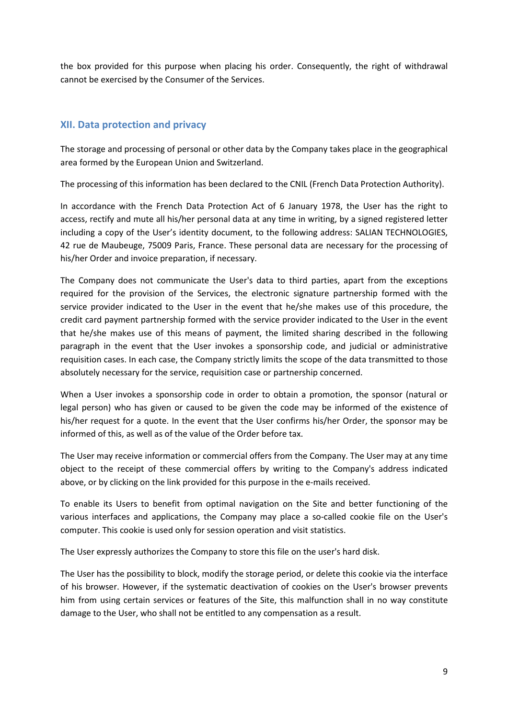the box provided for this purpose when placing his order. Consequently, the right of withdrawal cannot be exercised by the Consumer of the Services.

### **XII. Data protection and privacy**

The storage and processing of personal or other data by the Company takes place in the geographical area formed by the European Union and Switzerland.

The processing of this information has been declared to the CNIL (French Data Protection Authority).

In accordance with the French Data Protection Act of 6 January 1978, the User has the right to access, rectify and mute all his/her personal data at any time in writing, by a signed registered letter including a copy of the User's identity document, to the following address: SALIAN TECHNOLOGIES, 42 rue de Maubeuge, 75009 Paris, France. These personal data are necessary for the processing of his/her Order and invoice preparation, if necessary.

The Company does not communicate the User's data to third parties, apart from the exceptions required for the provision of the Services, the electronic signature partnership formed with the service provider indicated to the User in the event that he/she makes use of this procedure, the credit card payment partnership formed with the service provider indicated to the User in the event that he/she makes use of this means of payment, the limited sharing described in the following paragraph in the event that the User invokes a sponsorship code, and judicial or administrative requisition cases. In each case, the Company strictly limits the scope of the data transmitted to those absolutely necessary for the service, requisition case or partnership concerned.

When a User invokes a sponsorship code in order to obtain a promotion, the sponsor (natural or legal person) who has given or caused to be given the code may be informed of the existence of his/her request for a quote. In the event that the User confirms his/her Order, the sponsor may be informed of this, as well as of the value of the Order before tax.

The User may receive information or commercial offers from the Company. The User may at any time object to the receipt of these commercial offers by writing to the Company's address indicated above, or by clicking on the link provided for this purpose in the e-mails received.

To enable its Users to benefit from optimal navigation on the Site and better functioning of the various interfaces and applications, the Company may place a so-called cookie file on the User's computer. This cookie is used only for session operation and visit statistics.

The User expressly authorizes the Company to store this file on the user's hard disk.

The User has the possibility to block, modify the storage period, or delete this cookie via the interface of his browser. However, if the systematic deactivation of cookies on the User's browser prevents him from using certain services or features of the Site, this malfunction shall in no way constitute damage to the User, who shall not be entitled to any compensation as a result.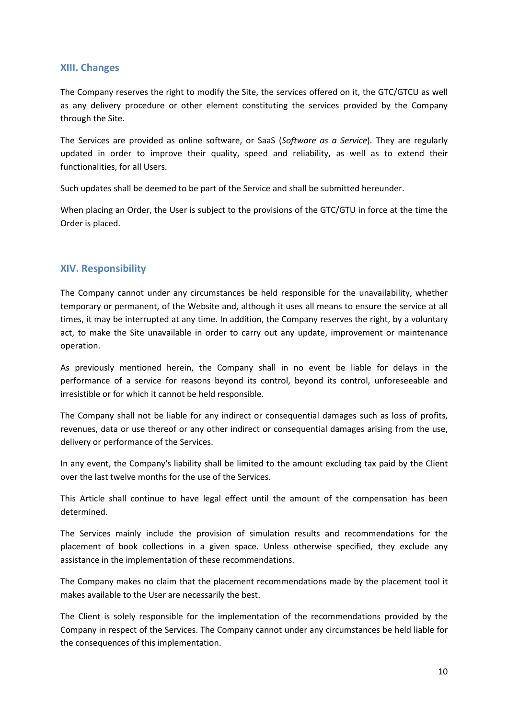#### **XIII. Changes**

The Company reserves the right to modify the Site, the services offered on it, the GTC/GTCU as well as any delivery procedure or other element constituting the services provided by the Company through the Site.

The Services are provided as online software, or SaaS (*Software as a Service*). They are regularly updated in order to improve their quality, speed and reliability, as well as to extend their functionalities, for all Users.

Such updates shall be deemed to be part of the Service and shall be submitted hereunder.

When placing an Order, the User is subject to the provisions of the GTC/GTU in force at the time the Order is placed.

#### **XIV. Responsibility**

The Company cannot under any circumstances be held responsible for the unavailability, whether temporary or permanent, of the Website and, although it uses all means to ensure the service at all times, it may be interrupted at any time. In addition, the Company reserves the right, by a voluntary act, to make the Site unavailable in order to carry out any update, improvement or maintenance operation.

As previously mentioned herein, the Company shall in no event be liable for delays in the performance of a service for reasons beyond its control, beyond its control, unforeseeable and irresistible or for which it cannot be held responsible.

The Company shall not be liable for any indirect or consequential damages such as loss of profits, revenues, data or use thereof or any other indirect or consequential damages arising from the use, delivery or performance of the Services.

In any event, the Company's liability shall be limited to the amount excluding tax paid by the Client over the last twelve months for the use of the Services.

This Article shall continue to have legal effect until the amount of the compensation has been determined.

The Services mainly include the provision of simulation results and recommendations for the placement of book collections in a given space. Unless otherwise specified, they exclude any assistance in the implementation of these recommendations.

The Company makes no claim that the placement recommendations made by the placement tool it makes available to the User are necessarily the best.

The Client is solely responsible for the implementation of the recommendations provided by the Company in respect of the Services. The Company cannot under any circumstances be held liable for the consequences of this implementation.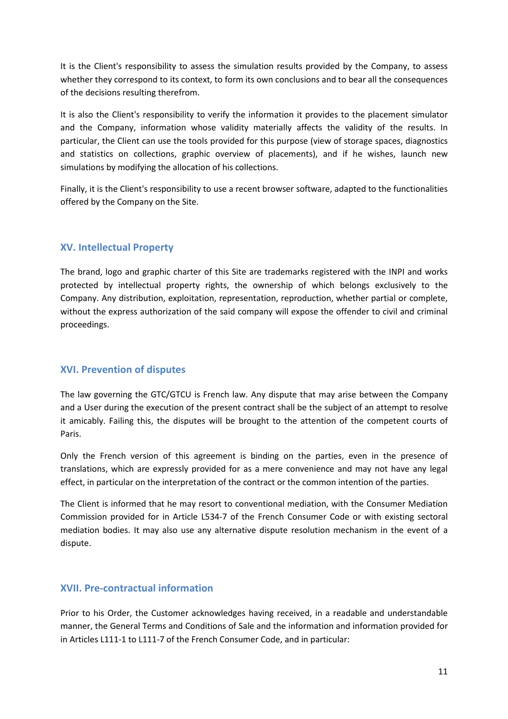It is the Client's responsibility to assess the simulation results provided by the Company, to assess whether they correspond to its context, to form its own conclusions and to bear all the consequences of the decisions resulting therefrom.

It is also the Client's responsibility to verify the information it provides to the placement simulator and the Company, information whose validity materially affects the validity of the results. In particular, the Client can use the tools provided for this purpose (view of storage spaces, diagnostics and statistics on collections, graphic overview of placements), and if he wishes, launch new simulations by modifying the allocation of his collections.

Finally, it is the Client's responsibility to use a recent browser software, adapted to the functionalities offered by the Company on the Site.

### **XV. Intellectual Property**

The brand, logo and graphic charter of this Site are trademarks registered with the INPI and works protected by intellectual property rights, the ownership of which belongs exclusively to the Company. Any distribution, exploitation, representation, reproduction, whether partial or complete, without the express authorization of the said company will expose the offender to civil and criminal proceedings.

### **XVI. Prevention of disputes**

The law governing the GTC/GTCU is French law. Any dispute that may arise between the Company and a User during the execution of the present contract shall be the subject of an attempt to resolve it amicably. Failing this, the disputes will be brought to the attention of the competent courts of Paris.

Only the French version of this agreement is binding on the parties, even in the presence of translations, which are expressly provided for as a mere convenience and may not have any legal effect, in particular on the interpretation of the contract or the common intention of the parties.

The Client is informed that he may resort to conventional mediation, with the Consumer Mediation Commission provided for in Article L534-7 of the French Consumer Code or with existing sectoral mediation bodies. It may also use any alternative dispute resolution mechanism in the event of a dispute.

### **XVII. Pre-contractual information**

Prior to his Order, the Customer acknowledges having received, in a readable and understandable manner, the General Terms and Conditions of Sale and the information and information provided for in Articles L111-1 to L111-7 of the French Consumer Code, and in particular: